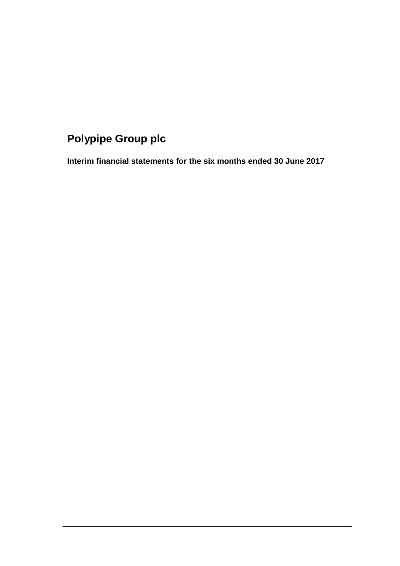# **Polypipe Group plc**

**Interim financial statements for the six months ended 30 June 2017**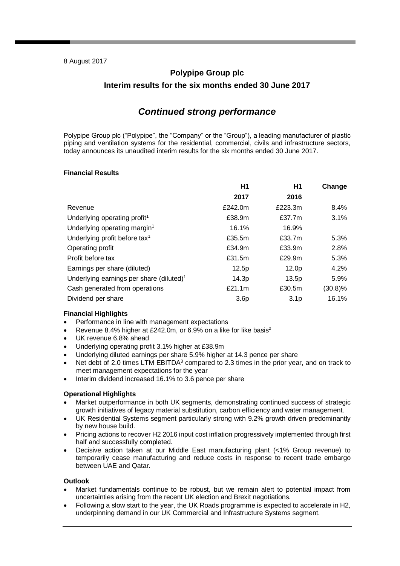# **Polypipe Group plc Interim results for the six months ended 30 June 2017**

# *Continued strong performance*

Polypipe Group plc ("Polypipe", the "Company" or the "Group"), a leading manufacturer of plastic piping and ventilation systems for the residential, commercial, civils and infrastructure sectors, today announces its unaudited interim results for the six months ended 30 June 2017.

## **Financial Results**

|                                                      | H1               | H1                | Change     |
|------------------------------------------------------|------------------|-------------------|------------|
|                                                      | 2017             | 2016              |            |
| Revenue                                              | £242.0m          | £223.3m           | 8.4%       |
| Underlying operating profit <sup>1</sup>             | £38.9m           | £37.7m            | 3.1%       |
| Underlying operating margin <sup>1</sup>             | 16.1%            | 16.9%             |            |
| Underlying profit before tax <sup>1</sup>            | £35.5m           | £33.7m            | 5.3%       |
| Operating profit                                     | £34.9m           | £33.9m            | 2.8%       |
| Profit before tax                                    | £31.5m           | £29.9m            | 5.3%       |
| Earnings per share (diluted)                         | 12.5p            | 12.0 <sub>p</sub> | 4.2%       |
| Underlying earnings per share (diluted) <sup>1</sup> | 14.3p            | 13.5p             | 5.9%       |
| Cash generated from operations                       | £21.1m           | £30.5m            | $(30.8)\%$ |
| Dividend per share                                   | 3.6 <sub>p</sub> | 3.1 <sub>p</sub>  | 16.1%      |

### **Financial Highlights**

- Performance in line with management expectations
- Revenue 8.4% higher at £242.0m, or 6.9% on a like for like basis<sup>2</sup>
- UK revenue 6.8% ahead
- Underlying operating profit 3.1% higher at £38.9m
- Underlying diluted earnings per share 5.9% higher at 14.3 pence per share
- Net debt of 2.0 times LTM EBITDA<sup>3</sup> compared to 2.3 times in the prior year, and on track to meet management expectations for the year
- Interim dividend increased 16.1% to 3.6 pence per share

### **Operational Highlights**

- Market outperformance in both UK segments, demonstrating continued success of strategic growth initiatives of legacy material substitution, carbon efficiency and water management.
- UK Residential Systems segment particularly strong with 9.2% growth driven predominantly by new house build.
- Pricing actions to recover H2 2016 input cost inflation progressively implemented through first half and successfully completed.
- Decisive action taken at our Middle East manufacturing plant (<1% Group revenue) to temporarily cease manufacturing and reduce costs in response to recent trade embargo between UAE and Qatar.

## **Outlook**

- Market fundamentals continue to be robust, but we remain alert to potential impact from uncertainties arising from the recent UK election and Brexit negotiations.
- Following a slow start to the year, the UK Roads programme is expected to accelerate in H2, underpinning demand in our UK Commercial and Infrastructure Systems segment.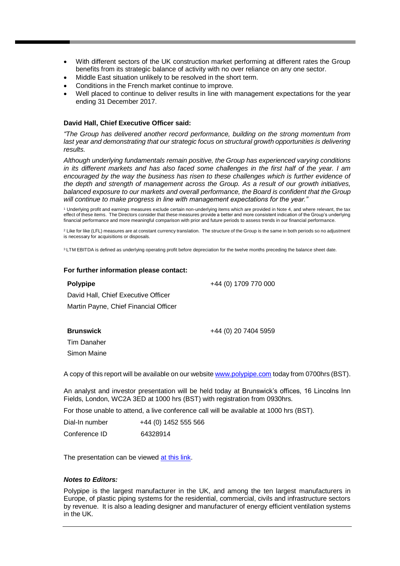- With different sectors of the UK construction market performing at different rates the Group benefits from its strategic balance of activity with no over reliance on any one sector.
- Middle East situation unlikely to be resolved in the short term.
- Conditions in the French market continue to improve.
- Well placed to continue to deliver results in line with management expectations for the year ending 31 December 2017.

### **David Hall, Chief Executive Officer said:**

*"The Group has delivered another record performance, building on the strong momentum from last year and demonstrating that our strategic focus on structural growth opportunities is delivering results.* 

*Although underlying fundamentals remain positive, the Group has experienced varying conditions in its different markets and has also faced some challenges in the first half of the year. I am encouraged by the way the business has risen to these challenges which is further evidence of the depth and strength of management across the Group. As a result of our growth initiatives, balanced exposure to our markets and overall performance, the Board is confident that the Group will continue to make progress in line with management expectations for the year."*

<sup>1</sup> Underlying profit and earnings measures exclude certain non-underlying items which are provided in Note 4, and where relevant, the tax effect of these items. The Directors consider that these measures provide a better and more consistent indication of the Group's underlying financial performance and more meaningful comparison with prior and future periods to assess trends in our financial performance.

<sup>2</sup> Like for like (LFL) measures are at constant currency translation. The structure of the Group is the same in both periods so no adjustment is necessary for acquisitions or disposals.

<sup>3</sup> LTM EBITDA is defined as underlying operating profit before depreciation for the twelve months preceding the balance sheet date.

#### **For further information please contact:**

### **Polypipe**

+44 (0) 1709 770 000

David Hall, Chief Executive Officer Martin Payne, Chief Financial Officer

**Brunswick**

+44 (0) 20 7404 5959

Tim Danaher Simon Maine

A copy of this report will be available on our websit[e www.polypipe.com](http://www.polypipe.com/) today from 0700hrs (BST).

An analyst and investor presentation will be held today at Brunswick's offices, 16 Lincolns Inn Fields, London, WC2A 3ED at 1000 hrs (BST) with registration from 0930hrs.

For those unable to attend, a live conference call will be available at 1000 hrs (BST).

| Dial-In number | +44 (0) 1452 555 566 |
|----------------|----------------------|
| Conference ID  | 64328914             |

The presentation can be viewed [at this link.](https://webconnect.webex.com/webconnect/onstage/g.php?MTID=e6a376b8590d8d939f50f76651bd8c4d1%20%20)

### *Notes to Editors:*

Polypipe is the largest manufacturer in the UK, and among the ten largest manufacturers in Europe, of plastic piping systems for the residential, commercial, civils and infrastructure sectors by revenue. It is also a leading designer and manufacturer of energy efficient ventilation systems in the UK.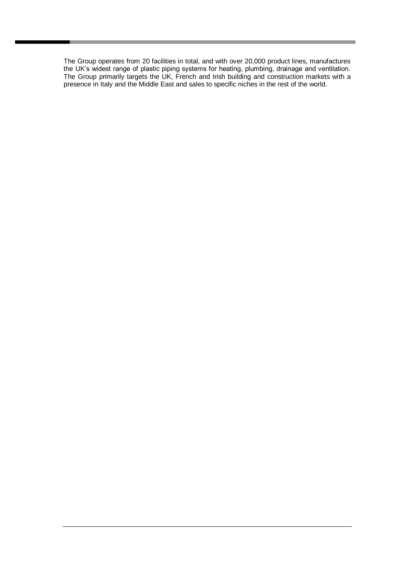The Group operates from 20 facilities in total, and with over 20,000 product lines, manufactures the UK's widest range of plastic piping systems for heating, plumbing, drainage and ventilation. The Group primarily targets the UK, French and Irish building and construction markets with a presence in Italy and the Middle East and sales to specific niches in the rest of the world.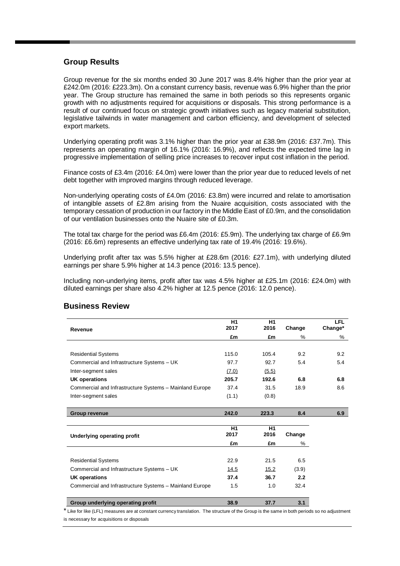## **Group Results**

Group revenue for the six months ended 30 June 2017 was 8.4% higher than the prior year at £242.0m (2016: £223.3m). On a constant currency basis, revenue was 6.9% higher than the prior year. The Group structure has remained the same in both periods so this represents organic growth with no adjustments required for acquisitions or disposals. This strong performance is a result of our continued focus on strategic growth initiatives such as legacy material substitution, legislative tailwinds in water management and carbon efficiency, and development of selected export markets.

Underlying operating profit was 3.1% higher than the prior year at £38.9m (2016: £37.7m). This represents an operating margin of 16.1% (2016: 16.9%), and reflects the expected time lag in progressive implementation of selling price increases to recover input cost inflation in the period.

Finance costs of £3.4m (2016: £4.0m) were lower than the prior year due to reduced levels of net debt together with improved margins through reduced leverage.

Non-underlying operating costs of £4.0m (2016: £3.8m) were incurred and relate to amortisation of intangible assets of £2.8m arising from the Nuaire acquisition, costs associated with the temporary cessation of production in our factory in the Middle East of £0.9m, and the consolidation of our ventilation businesses onto the Nuaire site of £0.3m.

The total tax charge for the period was £6.4m (2016: £5.9m). The underlying tax charge of £6.9m (2016: £6.6m) represents an effective underlying tax rate of 19.4% (2016: 19.6%).

Underlying profit after tax was 5.5% higher at £28.6m (2016: £27.1m), with underlying diluted earnings per share 5.9% higher at 14.3 pence (2016: 13.5 pence).

Including non-underlying items, profit after tax was 4.5% higher at £25.1m (2016: £24.0m) with diluted earnings per share also 4.2% higher at 12.5 pence (2016: 12.0 pence).

| Revenue                                                 | H1<br>2017 | H1<br>2016 | Change | <b>LFL</b><br>Change* |
|---------------------------------------------------------|------------|------------|--------|-----------------------|
|                                                         | £m         | £m         | $\%$   | %                     |
|                                                         |            |            |        |                       |
| <b>Residential Systems</b>                              | 115.0      | 105.4      | 9.2    | 9.2                   |
| Commercial and Infrastructure Systems - UK              | 97.7       | 92.7       | 5.4    | 5.4                   |
| Inter-segment sales                                     | (7.0)      | (5.5)      |        |                       |
| <b>UK operations</b>                                    | 205.7      | 192.6      | 6.8    | 6.8                   |
| Commercial and Infrastructure Systems - Mainland Europe | 37.4       | 31.5       | 18.9   | 8.6                   |
| Inter-segment sales                                     | (1.1)      | (0.8)      |        |                       |
|                                                         |            |            |        |                       |
| <b>Group revenue</b>                                    | 242.0      | 223.3      | 8.4    | 6.9                   |
|                                                         |            |            |        |                       |
| Underlying operating profit                             | H1<br>2017 | H1<br>2016 | Change |                       |
|                                                         | £m         | £m         | %      |                       |
|                                                         |            |            |        |                       |
| <b>Residential Systems</b>                              | 22.9       | 21.5       | 6.5    |                       |
| Commercial and Infrastructure Systems - UK              | 14.5       | 15.2       | (3.9)  |                       |
| UK operations                                           | 37.4       | 36.7       | 2.2    |                       |
| Commercial and Infrastructure Systems - Mainland Europe | 1.5        | 1.0        | 32.4   |                       |
|                                                         |            |            |        |                       |
| Group underlying operating profit                       | 38.9       | 37.7       | 3.1    |                       |

# **Business Review**

\* Like for like (LFL) measures are at constant currency translation. The structure of the Group is the same in both periods so no adjustment is necessary for acquisitions or disposals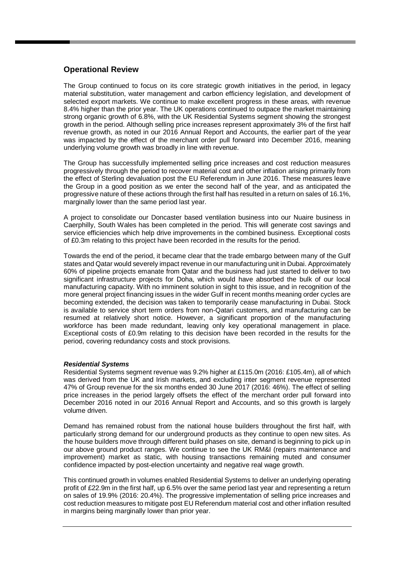# **Operational Review**

The Group continued to focus on its core strategic growth initiatives in the period, in legacy material substitution, water management and carbon efficiency legislation, and development of selected export markets. We continue to make excellent progress in these areas, with revenue 8.4% higher than the prior year. The UK operations continued to outpace the market maintaining strong organic growth of 6.8%, with the UK Residential Systems segment showing the strongest growth in the period. Although selling price increases represent approximately 3% of the first half revenue growth, as noted in our 2016 Annual Report and Accounts, the earlier part of the year was impacted by the effect of the merchant order pull forward into December 2016, meaning underlying volume growth was broadly in line with revenue.

The Group has successfully implemented selling price increases and cost reduction measures progressively through the period to recover material cost and other inflation arising primarily from the effect of Sterling devaluation post the EU Referendum in June 2016. These measures leave the Group in a good position as we enter the second half of the year, and as anticipated the progressive nature of these actions through the first half has resulted in a return on sales of 16.1%, marginally lower than the same period last year.

A project to consolidate our Doncaster based ventilation business into our Nuaire business in Caerphilly, South Wales has been completed in the period. This will generate cost savings and service efficiencies which help drive improvements in the combined business. Exceptional costs of £0.3m relating to this project have been recorded in the results for the period.

Towards the end of the period, it became clear that the trade embargo between many of the Gulf states and Qatar would severely impact revenue in our manufacturing unit in Dubai. Approximately 60% of pipeline projects emanate from Qatar and the business had just started to deliver to two significant infrastructure projects for Doha, which would have absorbed the bulk of our local manufacturing capacity. With no imminent solution in sight to this issue, and in recognition of the more general project financing issues in the wider Gulf in recent months meaning order cycles are becoming extended, the decision was taken to temporarily cease manufacturing in Dubai. Stock is available to service short term orders from non-Qatari customers, and manufacturing can be resumed at relatively short notice. However, a significant proportion of the manufacturing workforce has been made redundant, leaving only key operational management in place. Exceptional costs of £0.9m relating to this decision have been recorded in the results for the period, covering redundancy costs and stock provisions.

### *Residential Systems*

Residential Systems segment revenue was 9.2% higher at £115.0m (2016: £105.4m), all of which was derived from the UK and Irish markets, and excluding inter segment revenue represented 47% of Group revenue for the six months ended 30 June 2017 (2016: 46%). The effect of selling price increases in the period largely offsets the effect of the merchant order pull forward into December 2016 noted in our 2016 Annual Report and Accounts, and so this growth is largely volume driven.

Demand has remained robust from the national house builders throughout the first half, with particularly strong demand for our underground products as they continue to open new sites. As the house builders move through different build phases on site, demand is beginning to pick up in our above ground product ranges. We continue to see the UK RM&I (repairs maintenance and improvement) market as static, with housing transactions remaining muted and consumer confidence impacted by post-election uncertainty and negative real wage growth.

This continued growth in volumes enabled Residential Systems to deliver an underlying operating profit of £22.9m in the first half, up 6.5% over the same period last year and representing a return on sales of 19.9% (2016: 20.4%). The progressive implementation of selling price increases and cost reduction measures to mitigate post EU Referendum material cost and other inflation resulted in margins being marginally lower than prior year.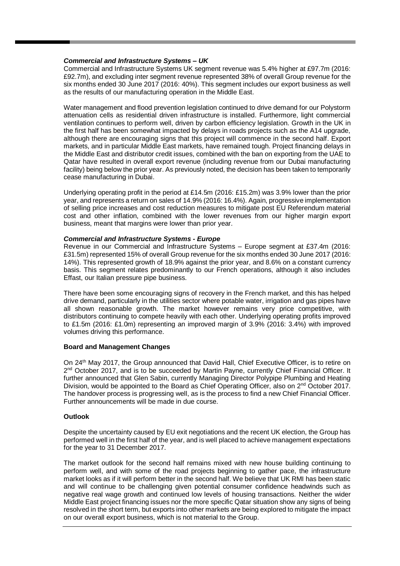### *Commercial and Infrastructure Systems – UK*

Commercial and Infrastructure Systems UK segment revenue was 5.4% higher at £97.7m (2016: £92.7m), and excluding inter segment revenue represented 38% of overall Group revenue for the six months ended 30 June 2017 (2016: 40%). This segment includes our export business as well as the results of our manufacturing operation in the Middle East.

Water management and flood prevention legislation continued to drive demand for our Polystorm attenuation cells as residential driven infrastructure is installed. Furthermore, light commercial ventilation continues to perform well, driven by carbon efficiency legislation. Growth in the UK in the first half has been somewhat impacted by delays in roads projects such as the A14 upgrade, although there are encouraging signs that this project will commence in the second half. Export markets, and in particular Middle East markets, have remained tough. Project financing delays in the Middle East and distributor credit issues, combined with the ban on exporting from the UAE to Qatar have resulted in overall export revenue (including revenue from our Dubai manufacturing facility) being below the prior year. As previously noted, the decision has been taken to temporarily cease manufacturing in Dubai.

Underlying operating profit in the period at £14.5m (2016: £15.2m) was 3.9% lower than the prior year, and represents a return on sales of 14.9% (2016: 16.4%). Again, progressive implementation of selling price increases and cost reduction measures to mitigate post EU Referendum material cost and other inflation, combined with the lower revenues from our higher margin export business, meant that margins were lower than prior year.

### *Commercial and Infrastructure Systems - Europe*

Revenue in our Commercial and Infrastructure Systems – Europe segment at £37.4m (2016: £31.5m) represented 15% of overall Group revenue for the six months ended 30 June 2017 (2016: 14%). This represented growth of 18.9% against the prior year, and 8.6% on a constant currency basis. This segment relates predominantly to our French operations, although it also includes Effast, our Italian pressure pipe business.

There have been some encouraging signs of recovery in the French market, and this has helped drive demand, particularly in the utilities sector where potable water, irrigation and gas pipes have all shown reasonable growth. The market however remains very price competitive, with distributors continuing to compete heavily with each other. Underlying operating profits improved to £1.5m (2016: £1.0m) representing an improved margin of 3.9% (2016: 3.4%) with improved volumes driving this performance.

### **Board and Management Changes**

On 24th May 2017, the Group announced that David Hall, Chief Executive Officer, is to retire on 2<sup>nd</sup> October 2017, and is to be succeeded by Martin Payne, currently Chief Financial Officer. It further announced that Glen Sabin, currently Managing Director Polypipe Plumbing and Heating Division, would be appointed to the Board as Chief Operating Officer, also on 2<sup>nd</sup> October 2017. The handover process is progressing well, as is the process to find a new Chief Financial Officer. Further announcements will be made in due course.

### **Outlook**

Despite the uncertainty caused by EU exit negotiations and the recent UK election, the Group has performed well in the first half of the year, and is well placed to achieve management expectations for the year to 31 December 2017.

The market outlook for the second half remains mixed with new house building continuing to perform well, and with some of the road projects beginning to gather pace, the infrastructure market looks as if it will perform better in the second half. We believe that UK RMI has been static and will continue to be challenging given potential consumer confidence headwinds such as negative real wage growth and continued low levels of housing transactions. Neither the wider Middle East project financing issues nor the more specific Qatar situation show any signs of being resolved in the short term, but exports into other markets are being explored to mitigate the impact on our overall export business, which is not material to the Group.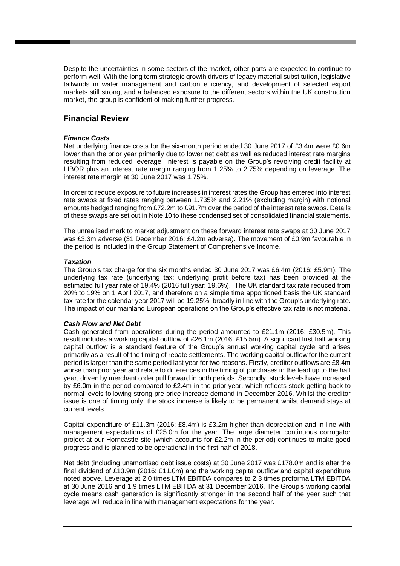Despite the uncertainties in some sectors of the market, other parts are expected to continue to perform well. With the long term strategic growth drivers of legacy material substitution, legislative tailwinds in water management and carbon efficiency, and development of selected export markets still strong, and a balanced exposure to the different sectors within the UK construction market, the group is confident of making further progress.

## **Financial Review**

### *Finance Costs*

Net underlying finance costs for the six-month period ended 30 June 2017 of £3.4m were £0.6m lower than the prior year primarily due to lower net debt as well as reduced interest rate margins resulting from reduced leverage. Interest is payable on the Group's revolving credit facility at LIBOR plus an interest rate margin ranging from 1.25% to 2.75% depending on leverage. The interest rate margin at 30 June 2017 was 1.75%.

In order to reduce exposure to future increases in interest rates the Group has entered into interest rate swaps at fixed rates ranging between 1.735% and 2.21% (excluding margin) with notional amounts hedged ranging from £72.2m to £91.7m over the period of the interest rate swaps. Details of these swaps are set out in Note 10 to these condensed set of consolidated financial statements.

The unrealised mark to market adjustment on these forward interest rate swaps at 30 June 2017 was £3.3m adverse (31 December 2016: £4.2m adverse). The movement of £0.9m favourable in the period is included in the Group Statement of Comprehensive Income.

### *Taxation*

The Group's tax charge for the six months ended 30 June 2017 was £6.4m (2016: £5.9m). The underlying tax rate (underlying tax: underlying profit before tax) has been provided at the estimated full year rate of 19.4% (2016 full year: 19.6%). The UK standard tax rate reduced from 20% to 19% on 1 April 2017, and therefore on a simple time apportioned basis the UK standard tax rate for the calendar year 2017 will be 19.25%, broadly in line with the Group's underlying rate. The impact of our mainland European operations on the Group's effective tax rate is not material.

### *Cash Flow and Net Debt*

Cash generated from operations during the period amounted to £21.1m (2016: £30.5m). This result includes a working capital outflow of £26.1m (2016: £15.5m). A significant first half working capital outflow is a standard feature of the Group's annual working capital cycle and arises primarily as a result of the timing of rebate settlements. The working capital outflow for the current period is larger than the same period last year for two reasons. Firstly, creditor outflows are £8.4m worse than prior year and relate to differences in the timing of purchases in the lead up to the half year, driven by merchant order pull forward in both periods. Secondly, stock levels have increased by £6.0m in the period compared to £2.4m in the prior year, which reflects stock getting back to normal levels following strong pre price increase demand in December 2016. Whilst the creditor issue is one of timing only, the stock increase is likely to be permanent whilst demand stays at current levels.

Capital expenditure of £11.3m (2016: £8.4m) is £3.2m higher than depreciation and in line with management expectations of £25.0m for the year. The large diameter continuous corrugator project at our Horncastle site (which accounts for £2.2m in the period) continues to make good progress and is planned to be operational in the first half of 2018.

Net debt (including unamortised debt issue costs) at 30 June 2017 was £178.0m and is after the final dividend of £13.9m (2016: £11.0m) and the working capital outflow and capital expenditure noted above. Leverage at 2.0 times LTM EBITDA compares to 2.3 times proforma LTM EBITDA at 30 June 2016 and 1.9 times LTM EBITDA at 31 December 2016. The Group's working capital cycle means cash generation is significantly stronger in the second half of the year such that leverage will reduce in line with management expectations for the year.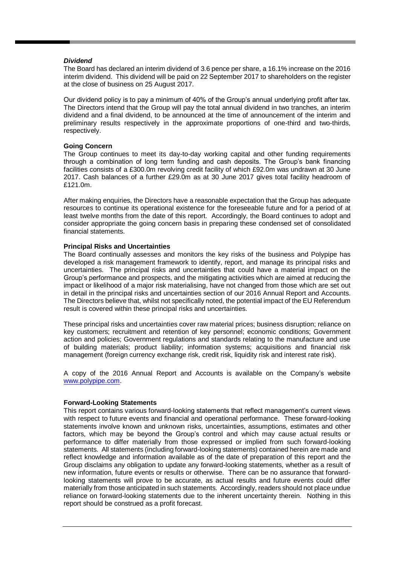### *Dividend*

The Board has declared an interim dividend of 3.6 pence per share, a 16.1% increase on the 2016 interim dividend. This dividend will be paid on 22 September 2017 to shareholders on the register at the close of business on 25 August 2017.

Our dividend policy is to pay a minimum of 40% of the Group's annual underlying profit after tax. The Directors intend that the Group will pay the total annual dividend in two tranches, an interim dividend and a final dividend, to be announced at the time of announcement of the interim and preliminary results respectively in the approximate proportions of one-third and two-thirds, respectively.

### **Going Concern**

The Group continues to meet its day-to-day working capital and other funding requirements through a combination of long term funding and cash deposits. The Group's bank financing facilities consists of a £300.0m revolving credit facility of which £92.0m was undrawn at 30 June 2017. Cash balances of a further £29.0m as at 30 June 2017 gives total facility headroom of £121.0m.

After making enquiries, the Directors have a reasonable expectation that the Group has adequate resources to continue its operational existence for the foreseeable future and for a period of at least twelve months from the date of this report. Accordingly, the Board continues to adopt and consider appropriate the going concern basis in preparing these condensed set of consolidated financial statements.

### **Principal Risks and Uncertainties**

The Board continually assesses and monitors the key risks of the business and Polypipe has developed a risk management framework to identify, report, and manage its principal risks and uncertainties. The principal risks and uncertainties that could have a material impact on the Group's performance and prospects, and the mitigating activities which are aimed at reducing the impact or likelihood of a major risk materialising, have not changed from those which are set out in detail in the principal risks and uncertainties section of our 2016 Annual Report and Accounts. The Directors believe that, whilst not specifically noted, the potential impact of the EU Referendum result is covered within these principal risks and uncertainties.

These principal risks and uncertainties cover raw material prices; business disruption; reliance on key customers; recruitment and retention of key personnel; economic conditions; Government action and policies; Government regulations and standards relating to the manufacture and use of building materials; product liability; information systems; acquisitions and financial risk management (foreign currency exchange risk, credit risk, liquidity risk and interest rate risk).

A copy of the 2016 Annual Report and Accounts is available on the Company's website [www.polypipe.com.](http://www.polypipe.com/)

### **Forward-Looking Statements**

This report contains various forward-looking statements that reflect management's current views with respect to future events and financial and operational performance. These forward-looking statements involve known and unknown risks, uncertainties, assumptions, estimates and other factors, which may be beyond the Group's control and which may cause actual results or performance to differ materially from those expressed or implied from such forward-looking statements. All statements (including forward-looking statements) contained herein are made and reflect knowledge and information available as of the date of preparation of this report and the Group disclaims any obligation to update any forward-looking statements, whether as a result of new information, future events or results or otherwise. There can be no assurance that forwardlooking statements will prove to be accurate, as actual results and future events could differ materially from those anticipated in such statements. Accordingly, readers should not place undue reliance on forward-looking statements due to the inherent uncertainty therein. Nothing in this report should be construed as a profit forecast.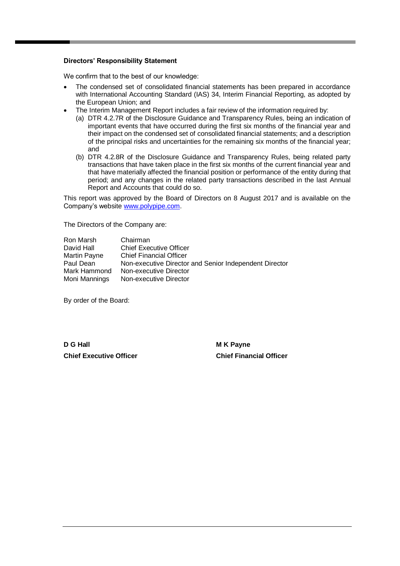### **Directors' Responsibility Statement**

We confirm that to the best of our knowledge:

- The condensed set of consolidated financial statements has been prepared in accordance with International Accounting Standard (IAS) 34, Interim Financial Reporting, as adopted by the European Union; and
- The Interim Management Report includes a fair review of the information required by:
	- (a) DTR 4.2.7R of the Disclosure Guidance and Transparency Rules, being an indication of important events that have occurred during the first six months of the financial year and their impact on the condensed set of consolidated financial statements; and a description of the principal risks and uncertainties for the remaining six months of the financial year; and
	- (b) DTR 4.2.8R of the Disclosure Guidance and Transparency Rules, being related party transactions that have taken place in the first six months of the current financial year and that have materially affected the financial position or performance of the entity during that period; and any changes in the related party transactions described in the last Annual Report and Accounts that could do so.

This report was approved by the Board of Directors on 8 August 2017 and is available on the Company's website [www.polypipe.com.](http://www.polypipe.com/)

The Directors of the Company are:

| Ron Marsh     | Chairman                                               |
|---------------|--------------------------------------------------------|
| David Hall    | <b>Chief Executive Officer</b>                         |
| Martin Payne  | <b>Chief Financial Officer</b>                         |
| Paul Dean     | Non-executive Director and Senior Independent Director |
| Mark Hammond  | Non-executive Director                                 |
| Moni Mannings | Non-executive Director                                 |

By order of the Board:

**D G Hall M K Payne Chief Executive Officer Chief Financial Officer**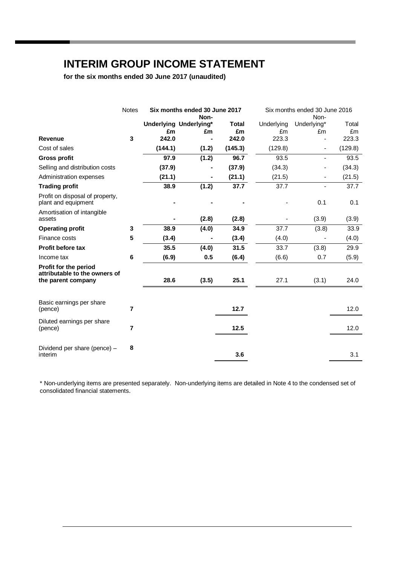# **INTERIM GROUP INCOME STATEMENT**

**for the six months ended 30 June 2017 (unaudited)**

|                                                                              | <b>Notes</b> | Six months ended 30 June 2017 |                              |                    | Six months ended 30 June 2016 |                   |             |
|------------------------------------------------------------------------------|--------------|-------------------------------|------------------------------|--------------------|-------------------------------|-------------------|-------------|
|                                                                              |              |                               | Non-                         |                    |                               | Non-              |             |
|                                                                              |              | £m                            | Underlying Underlying*<br>£m | <b>Total</b><br>£m | Underlying<br>£m              | Underlying*<br>£m | Total<br>£m |
| <b>Revenue</b>                                                               | 3            | 242.0                         |                              | 242.0              | 223.3                         |                   | 223.3       |
| Cost of sales                                                                |              | (144.1)                       | (1.2)                        | (145.3)            | (129.8)                       | $\blacksquare$    | (129.8)     |
| <b>Gross profit</b>                                                          |              | 97.9                          | (1.2)                        | 96.7               | 93.5                          |                   | 93.5        |
| Selling and distribution costs                                               |              | (37.9)                        |                              | (37.9)             | (34.3)                        |                   | (34.3)      |
| Administration expenses                                                      |              | (21.1)                        |                              | (21.1)             | (21.5)                        |                   | (21.5)      |
| <b>Trading profit</b>                                                        |              | 38.9                          | (1.2)                        | 37.7               | 37.7                          |                   | 37.7        |
| Profit on disposal of property,<br>plant and equipment                       |              |                               |                              |                    |                               | 0.1               | 0.1         |
| Amortisation of intangible<br>assets                                         |              |                               | (2.8)                        | (2.8)              |                               | (3.9)             | (3.9)       |
| <b>Operating profit</b>                                                      | 3            | 38.9                          | (4.0)                        | 34.9               | 37.7                          | (3.8)             | 33.9        |
| Finance costs                                                                | 5            | (3.4)                         |                              | (3.4)              | (4.0)                         |                   | (4.0)       |
| <b>Profit before tax</b>                                                     |              | 35.5                          | (4.0)                        | 31.5               | 33.7                          | (3.8)             | 29.9        |
| Income tax                                                                   | $\bf 6$      | (6.9)                         | 0.5                          | (6.4)              | (6.6)                         | 0.7               | (5.9)       |
| Profit for the period<br>attributable to the owners of<br>the parent company |              | 28.6                          | (3.5)                        | 25.1               | 27.1                          | (3.1)             | 24.0        |
| Basic earnings per share                                                     |              |                               |                              |                    |                               |                   |             |
| (pence)                                                                      | 7            |                               |                              | 12.7               |                               |                   | 12.0        |
| Diluted earnings per share<br>(pence)                                        | 7            |                               |                              | 12.5               |                               |                   | 12.0        |
| Dividend per share (pence) -<br>interim                                      | 8            |                               |                              | 3.6                |                               |                   | 3.1         |

\* Non-underlying items are presented separately. Non-underlying items are detailed in Note 4 to the condensed set of consolidated financial statements.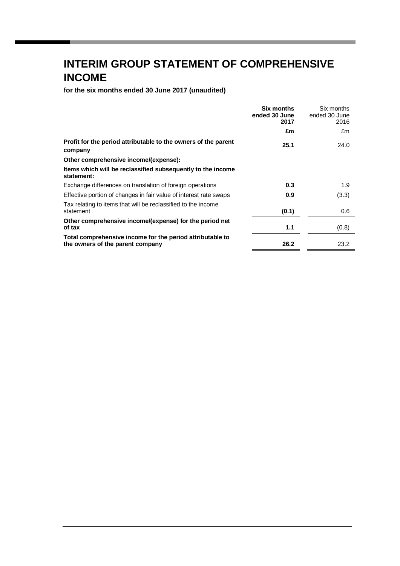# **INTERIM GROUP STATEMENT OF COMPREHENSIVE INCOME**

**for the six months ended 30 June 2017 (unaudited)**

|                                                                                               | Six months<br>ended 30 June<br>2017 | Six months<br>ended 30 June<br>2016 |
|-----------------------------------------------------------------------------------------------|-------------------------------------|-------------------------------------|
|                                                                                               | £m                                  | £m                                  |
| Profit for the period attributable to the owners of the parent<br>company                     | 25.1                                | 24.0                                |
| Other comprehensive income/(expense):                                                         |                                     |                                     |
| Items which will be reclassified subsequently to the income<br>statement:                     |                                     |                                     |
| Exchange differences on translation of foreign operations                                     | 0.3                                 | 1.9                                 |
| Effective portion of changes in fair value of interest rate swaps                             | 0.9                                 | (3.3)                               |
| Tax relating to items that will be reclassified to the income<br>statement                    | (0.1)                               | 0.6                                 |
| Other comprehensive income/(expense) for the period net<br>of tax                             | 1.1                                 | (0.8)                               |
| Total comprehensive income for the period attributable to<br>the owners of the parent company | 26.2                                | 23.2                                |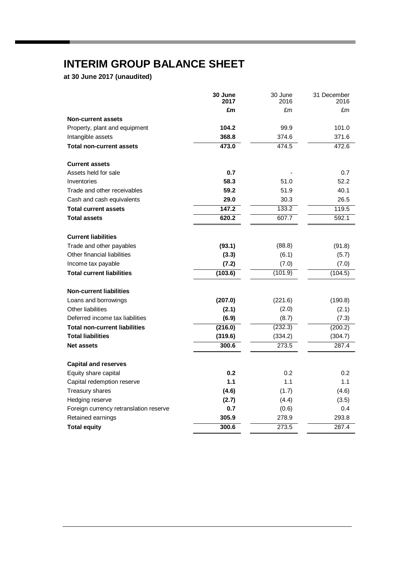# **INTERIM GROUP BALANCE SHEET**

**at 30 June 2017 (unaudited)**

|                                        | 30 June<br>2017 | 30 June<br>2016 | 31 December<br>2016 |
|----------------------------------------|-----------------|-----------------|---------------------|
|                                        | £m              | £m              | £m                  |
| <b>Non-current assets</b>              |                 |                 |                     |
| Property, plant and equipment          | 104.2           | 99.9            | 101.0               |
| Intangible assets                      | 368.8           | 374.6           | 371.6               |
| <b>Total non-current assets</b>        | 473.0           | 474.5           | 472.6               |
| <b>Current assets</b>                  |                 |                 |                     |
| Assets held for sale                   | 0.7             |                 | 0.7                 |
| Inventories                            | 58.3            | 51.0            | 52.2                |
| Trade and other receivables            | 59.2            | 51.9            | 40.1                |
| Cash and cash equivalents              | 29.0            | 30.3            | 26.5                |
| <b>Total current assets</b>            | 147.2           | 133.2           | 119.5               |
| <b>Total assets</b>                    | 620.2           | 607.7           | 592.1               |
| <b>Current liabilities</b>             |                 |                 |                     |
| Trade and other payables               | (93.1)          | (88.8)          | (91.8)              |
| Other financial liabilities            | (3.3)           | (6.1)           | (5.7)               |
| Income tax payable                     | (7.2)           | (7.0)           | (7.0)               |
| <b>Total current liabilities</b>       | (103.6)         | (101.9)         | (104.5)             |
| <b>Non-current liabilities</b>         |                 |                 |                     |
| Loans and borrowings                   | (207.0)         | (221.6)         | (190.8)             |
| Other liabilities                      | (2.1)           | (2.0)           | (2.1)               |
| Deferred income tax liabilities        | (6.9)           | (8.7)           | (7.3)               |
| <b>Total non-current liabilities</b>   | (216.0)         | (232.3)         | (200.2)             |
| <b>Total liabilities</b>               | (319.6)         | (334.2)         | (304.7)             |
| <b>Net assets</b>                      | 300.6           | 273.5           | 287.4               |
| <b>Capital and reserves</b>            |                 |                 |                     |
| Equity share capital                   | 0.2             | 0.2             | 0.2                 |
| Capital redemption reserve             | 1.1             | 1.1             | 1.1                 |
| Treasury shares                        | (4.6)           | (1.7)           | (4.6)               |
| Hedging reserve                        | (2.7)           | (4.4)           | (3.5)               |
| Foreign currency retranslation reserve | 0.7             | (0.6)           | 0.4                 |
| Retained earnings                      | 305.9           | 278.9           | 293.8               |
| <b>Total equity</b>                    | 300.6           | 273.5           | 287.4               |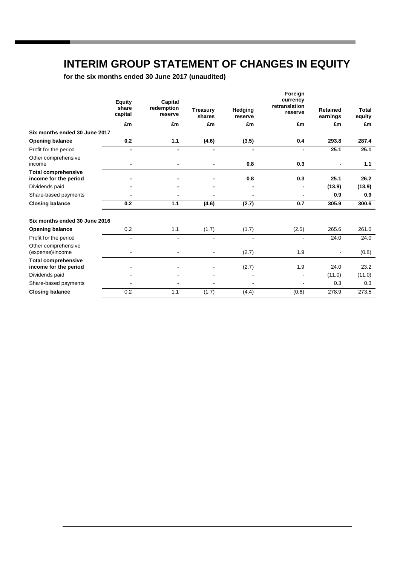# **INTERIM GROUP STATEMENT OF CHANGES IN EQUITY**

**for the six months ended 30 June 2017 (unaudited)**

|                                                     | <b>Equity</b><br>share<br>capital | Capital<br>redemption<br>reserve | <b>Treasurv</b><br>shares | Hedging<br>reserve | Foreign<br>currency<br>retranslation<br>reserve | <b>Retained</b><br>earnings | Total<br>equity |
|-----------------------------------------------------|-----------------------------------|----------------------------------|---------------------------|--------------------|-------------------------------------------------|-----------------------------|-----------------|
|                                                     | £m                                | £m                               | £m                        | £m                 | £m                                              | £m                          | £m              |
| Six months ended 30 June 2017                       |                                   |                                  |                           |                    |                                                 |                             |                 |
| <b>Opening balance</b>                              | 0.2                               | 1.1                              | (4.6)                     | (3.5)              | 0.4                                             | 293.8                       | 287.4           |
| Profit for the period                               | $\blacksquare$                    |                                  |                           |                    |                                                 | 25.1                        | 25.1            |
| Other comprehensive<br>income                       |                                   |                                  |                           | 0.8                | 0.3                                             |                             | 1.1             |
| <b>Total comprehensive</b><br>income for the period |                                   |                                  |                           | 0.8                | 0.3                                             | 25.1                        | 26.2            |
| Dividends paid                                      |                                   |                                  |                           |                    |                                                 | (13.9)                      | (13.9)          |
| Share-based payments                                |                                   |                                  |                           |                    |                                                 | 0.9                         | 0.9             |
| <b>Closing balance</b>                              | 0.2                               | 1.1                              | (4.6)                     | (2.7)              | 0.7                                             | 305.9                       | 300.6           |
| Six months ended 30 June 2016                       |                                   |                                  |                           |                    |                                                 |                             |                 |
| <b>Opening balance</b>                              | 0.2                               | 1.1                              | (1.7)                     | (1.7)              | (2.5)                                           | 265.6                       | 261.0           |
| Profit for the period                               | $\blacksquare$                    | ä,                               |                           |                    |                                                 | 24.0                        | 24.0            |
| Other comprehensive<br>(expense)/income             |                                   |                                  |                           | (2.7)              | 1.9                                             |                             | (0.8)           |
| <b>Total comprehensive</b><br>income for the period |                                   |                                  |                           | (2.7)              | 1.9                                             | 24.0                        | 23.2            |
| Dividends paid                                      |                                   |                                  |                           |                    |                                                 | (11.0)                      | (11.0)          |
| Share-based payments                                |                                   |                                  |                           |                    |                                                 | 0.3                         | 0.3             |
| <b>Closing balance</b>                              | 0.2                               | 1.1                              | (1.7)                     | (4.4)              | (0.6)                                           | 278.9                       | 273.5           |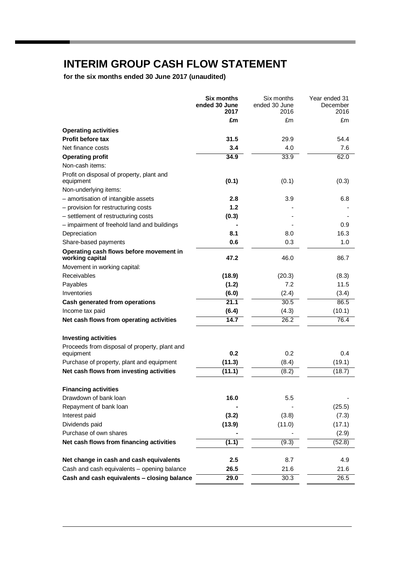# **INTERIM GROUP CASH FLOW STATEMENT**

**for the six months ended 30 June 2017 (unaudited)**

|                                                            | Six months<br>ended 30 June<br>2017 | Six months<br>ended 30 June<br>2016 | Year ended 31<br>December<br>2016 |
|------------------------------------------------------------|-------------------------------------|-------------------------------------|-----------------------------------|
|                                                            | £m                                  | £m                                  | £m                                |
| <b>Operating activities</b>                                |                                     |                                     |                                   |
| <b>Profit before tax</b>                                   | 31.5                                | 29.9                                | 54.4                              |
| Net finance costs                                          | 3.4                                 | 4.0                                 | 7.6                               |
| <b>Operating profit</b>                                    | 34.9                                | 33.9                                | 62.0                              |
| Non-cash items:                                            |                                     |                                     |                                   |
| Profit on disposal of property, plant and<br>equipment     | (0.1)                               | (0.1)                               | (0.3)                             |
| Non-underlying items:                                      |                                     |                                     |                                   |
| - amortisation of intangible assets                        | 2.8                                 | 3.9                                 | 6.8                               |
| - provision for restructuring costs                        | 1.2                                 |                                     |                                   |
| - settlement of restructuring costs                        | (0.3)                               |                                     |                                   |
| - impairment of freehold land and buildings                |                                     |                                     | 0.9                               |
| Depreciation                                               | 8.1                                 | 8.0                                 | 16.3                              |
| Share-based payments                                       | 0.6                                 | 0.3                                 | 1.0                               |
| Operating cash flows before movement in<br>working capital | 47.2                                | 46.0                                | 86.7                              |
| Movement in working capital:                               |                                     |                                     |                                   |
| Receivables                                                | (18.9)                              | (20.3)                              | (8.3)                             |
| Payables                                                   | (1.2)                               | 7.2                                 | 11.5                              |
| Inventories                                                | (6.0)                               | (2.4)                               | (3.4)                             |
| Cash generated from operations                             | $\overline{21.1}$                   | 30.5                                | 86.5                              |
| Income tax paid                                            | (6.4)                               | (4.3)                               | (10.1)                            |
| Net cash flows from operating activities                   | 14.7                                | 26.2                                | 76.4                              |
| <b>Investing activities</b>                                |                                     |                                     |                                   |
| Proceeds from disposal of property, plant and<br>equipment | 0.2                                 | 0.2                                 | 0.4                               |
| Purchase of property, plant and equipment                  | (11.3)                              | (8.4)                               | (19.1)                            |
| Net cash flows from investing activities                   | (11.1)                              | (8.2)                               | (18.7)                            |
| <b>Financing activities</b>                                |                                     |                                     |                                   |
| Drawdown of bank loan                                      | 16.0                                | 5.5                                 |                                   |
| Repayment of bank loan                                     |                                     |                                     | (25.5)                            |
| Interest paid                                              | (3.2)                               | (3.8)                               | (7.3)                             |
| Dividends paid                                             | (13.9)                              | (11.0)                              | (17.1)                            |
| Purchase of own shares                                     |                                     |                                     | (2.9)                             |
| Net cash flows from financing activities                   | (1.1)                               | (9.3)                               | (52.8)                            |
| Net change in cash and cash equivalents                    | 2.5                                 | 8.7                                 | 4.9                               |
| Cash and cash equivalents - opening balance                | 26.5                                | 21.6                                | 21.6                              |
| Cash and cash equivalents - closing balance                | 29.0                                | 30.3                                | 26.5                              |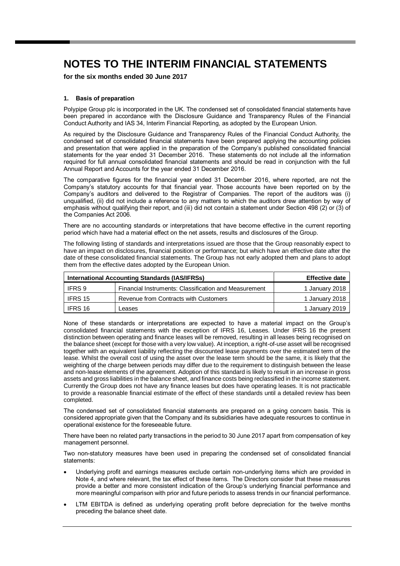**for the six months ended 30 June 2017**

### **1. Basis of preparation**

Polypipe Group plc is incorporated in the UK. The condensed set of consolidated financial statements have been prepared in accordance with the Disclosure Guidance and Transparency Rules of the Financial Conduct Authority and IAS 34, Interim Financial Reporting, as adopted by the European Union.

As required by the Disclosure Guidance and Transparency Rules of the Financial Conduct Authority, the condensed set of consolidated financial statements have been prepared applying the accounting policies and presentation that were applied in the preparation of the Company's published consolidated financial statements for the year ended 31 December 2016. These statements do not include all the information required for full annual consolidated financial statements and should be read in conjunction with the full Annual Report and Accounts for the year ended 31 December 2016.

The comparative figures for the financial year ended 31 December 2016, where reported, are not the Company's statutory accounts for that financial year. Those accounts have been reported on by the Company's auditors and delivered to the Registrar of Companies. The report of the auditors was (i) unqualified, (ii) did not include a reference to any matters to which the auditors drew attention by way of emphasis without qualifying their report, and (iii) did not contain a statement under Section 498 (2) or (3) of the Companies Act 2006.

There are no accounting standards or interpretations that have become effective in the current reporting period which have had a material effect on the net assets, results and disclosures of the Group.

The following listing of standards and interpretations issued are those that the Group reasonably expect to have an impact on disclosures, financial position or performance; but which have an effective date after the date of these consolidated financial statements. The Group has not early adopted them and plans to adopt them from the effective dates adopted by the European Union.

| International Accounting Standards (IAS/IFRSs) | <b>Effective date</b>                                 |                |
|------------------------------------------------|-------------------------------------------------------|----------------|
| IFRS 9                                         | Financial Instruments: Classification and Measurement | 1 January 2018 |
| IFRS 15                                        | Revenue from Contracts with Customers                 | 1 January 2018 |
| <b>IFRS 16</b>                                 | Leases                                                | 1 January 2019 |

None of these standards or interpretations are expected to have a material impact on the Group's consolidated financial statements with the exception of IFRS 16, Leases. Under IFRS 16 the present distinction between operating and finance leases will be removed, resulting in all leases being recognised on the balance sheet (except for those with a very low value). At inception, a right-of-use asset will be recognised together with an equivalent liability reflecting the discounted lease payments over the estimated term of the lease. Whilst the overall cost of using the asset over the lease term should be the same, it is likely that the weighting of the charge between periods may differ due to the requirement to distinguish between the lease and non-lease elements of the agreement. Adoption of this standard is likely to result in an increase in gross assets and gross liabilities in the balance sheet, and finance costs being reclassified in the income statement. Currently the Group does not have any finance leases but does have operating leases. It is not practicable to provide a reasonable financial estimate of the effect of these standards until a detailed review has been completed.

The condensed set of consolidated financial statements are prepared on a going concern basis. This is considered appropriate given that the Company and its subsidiaries have adequate resources to continue in operational existence for the foreseeable future.

There have been no related party transactions in the period to 30 June 2017 apart from compensation of key management personnel.

Two non-statutory measures have been used in preparing the condensed set of consolidated financial statements:

- Underlying profit and earnings measures exclude certain non-underlying items which are provided in Note 4, and where relevant, the tax effect of these items. The Directors consider that these measures provide a better and more consistent indication of the Group's underlying financial performance and more meaningful comparison with prior and future periods to assess trends in our financial performance.
- LTM EBITDA is defined as underlying operating profit before depreciation for the twelve months preceding the balance sheet date.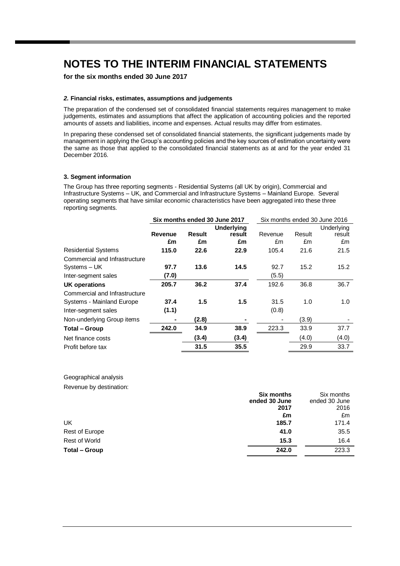### **for the six months ended 30 June 2017**

#### *2.* **Financial risks, estimates, assumptions and judgements**

The preparation of the condensed set of consolidated financial statements requires management to make judgements, estimates and assumptions that affect the application of accounting policies and the reported amounts of assets and liabilities, income and expenses. Actual results may differ from estimates.

In preparing these condensed set of consolidated financial statements, the significant judgements made by management in applying the Group's accounting policies and the key sources of estimation uncertainty were the same as those that applied to the consolidated financial statements as at and for the year ended 31 December 2016.

### **3. Segment information**

The Group has three reporting segments - Residential Systems (all UK by origin), Commercial and Infrastructure Systems – UK, and Commercial and Infrastructure Systems – Mainland Europe. Several operating segments that have similar economic characteristics have been aggregated into these three reporting segments.

|                               |         |        | Six months ended 30 June 2017 |         | Six months ended 30 June 2016 |            |  |
|-------------------------------|---------|--------|-------------------------------|---------|-------------------------------|------------|--|
|                               |         |        | <b>Underlying</b>             |         |                               | Underlying |  |
|                               | Revenue | Result | result                        | Revenue | Result                        | result     |  |
|                               | £m      | £m     | £m                            | £m      | £m                            | £m         |  |
| <b>Residential Systems</b>    | 115.0   | 22.6   | 22.9                          | 105.4   | 21.6                          | 21.5       |  |
| Commercial and Infrastructure |         |        |                               |         |                               |            |  |
| Systems - UK                  | 97.7    | 13.6   | 14.5                          | 92.7    | 15.2                          | 15.2       |  |
| Inter-segment sales           | (7.0)   |        |                               | (5.5)   |                               |            |  |
| <b>UK operations</b>          | 205.7   | 36.2   | 37.4                          | 192.6   | 36.8                          | 36.7       |  |
| Commercial and Infrastructure |         |        |                               |         |                               |            |  |
| Systems - Mainland Europe     | 37.4    | 1.5    | 1.5                           | 31.5    | 1.0                           | 1.0        |  |
| Inter-segment sales           | (1.1)   |        |                               | (0.8)   |                               |            |  |
| Non-underlying Group items    |         | (2.8)  |                               |         | (3.9)                         |            |  |
| <b>Total - Group</b>          | 242.0   | 34.9   | 38.9                          | 223.3   | 33.9                          | 37.7       |  |
| Net finance costs             |         | (3.4)  | (3.4)                         |         | (4.0)                         | (4.0)      |  |
| Profit before tax             |         | 31.5   | 35.5                          |         | 29.9                          | 33.7       |  |
|                               |         |        |                               |         |                               |            |  |

Geographical analysis Revenue by destination:

|                      | Six months    | Six months    |
|----------------------|---------------|---------------|
|                      | ended 30 June | ended 30 June |
|                      | 2017          | 2016          |
|                      | £m            | £m            |
| UK                   | 185.7         | 171.4         |
| Rest of Europe       | 41.0          | 35.5          |
| <b>Rest of World</b> | 15.3          | 16.4          |
| Total – Group        | 242.0         | 223.3         |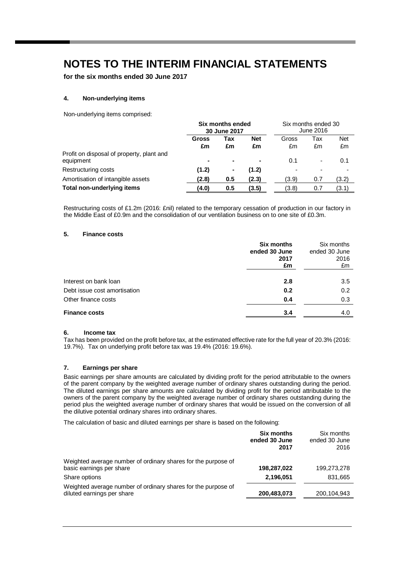**for the six months ended 30 June 2017**

### **4. Non-underlying items**

Non-underlying items comprised:

|                                                        | Six months ended<br>30 June 2017 |     | Six months ended 30<br>June 2016 |       |                |            |
|--------------------------------------------------------|----------------------------------|-----|----------------------------------|-------|----------------|------------|
|                                                        | Gross                            | Tax | <b>Net</b>                       | Gross | Tax            | <b>Net</b> |
|                                                        | £m                               | £m  | £m                               | £m    | £m             | £m         |
| Profit on disposal of property, plant and<br>equipment |                                  |     | ٠                                | 0.1   | $\blacksquare$ | 0.1        |
| Restructuring costs                                    | (1.2)                            | ۰   | (1.2)                            |       |                |            |
| Amortisation of intangible assets                      | (2.8)                            | 0.5 | (2.3)                            | (3.9) | 0.7            | (3.2)      |
| <b>Total non-underlying items</b>                      | (4.0)                            | 0.5 | (3.5)                            | (3.8) | 0.7            | (3.1)      |

Restructuring costs of £1.2m (2016: £nil) related to the temporary cessation of production in our factory in the Middle East of £0.9m and the consolidation of our ventilation business on to one site of £0.3m.

### **5. Finance costs**

|                              | <b>Six months</b><br>ended 30 June<br>2017<br>£m | Six months<br>ended 30 June<br>2016<br>£m |
|------------------------------|--------------------------------------------------|-------------------------------------------|
| Interest on bank loan        | 2.8                                              | 3.5                                       |
| Debt issue cost amortisation | 0.2                                              | 0.2                                       |
| Other finance costs          | 0.4                                              | 0.3                                       |
| <b>Finance costs</b>         | 3.4                                              | 4.0                                       |

#### **6. Income tax**

Tax has been provided on the profit before tax, at the estimated effective rate for the full year of 20.3% (2016: 19.7%). Tax on underlying profit before tax was 19.4% (2016: 19.6%).

#### **7. Earnings per share**

Basic earnings per share amounts are calculated by dividing profit for the period attributable to the owners of the parent company by the weighted average number of ordinary shares outstanding during the period. The diluted earnings per share amounts are calculated by dividing profit for the period attributable to the owners of the parent company by the weighted average number of ordinary shares outstanding during the period plus the weighted average number of ordinary shares that would be issued on the conversion of all the dilutive potential ordinary shares into ordinary shares.

The calculation of basic and diluted earnings per share is based on the following:

|                                                                                             | <b>Six months</b><br>ended 30 June<br>2017 | Six months<br>ended 30 June<br>2016 |
|---------------------------------------------------------------------------------------------|--------------------------------------------|-------------------------------------|
| Weighted average number of ordinary shares for the purpose of                               |                                            |                                     |
| basic earnings per share                                                                    | 198,287,022                                | 199,273,278                         |
| Share options                                                                               | 2,196,051                                  | 831,665                             |
| Weighted average number of ordinary shares for the purpose of<br>diluted earnings per share | 200,483,073                                | 200,104,943                         |
|                                                                                             |                                            |                                     |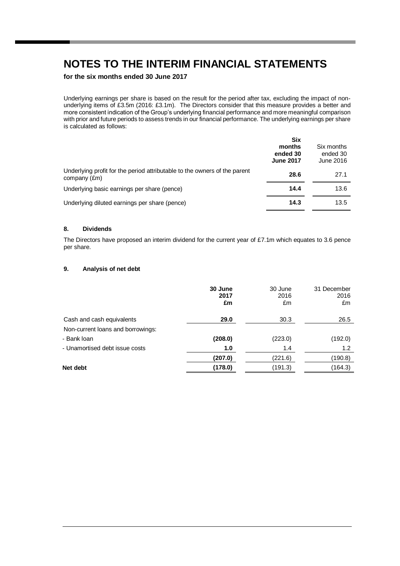### **for the six months ended 30 June 2017**

Underlying earnings per share is based on the result for the period after tax, excluding the impact of nonunderlying items of £3.5m (2016: £3.1m). The Directors consider that this measure provides a better and more consistent indication of the Group's underlying financial performance and more meaningful comparison with prior and future periods to assess trends in our financial performance. The underlying earnings per share is calculated as follows:

|                                                                                           | Six<br>months<br>ended 30<br><b>June 2017</b> | Six months<br>ended 30<br>June 2016 |
|-------------------------------------------------------------------------------------------|-----------------------------------------------|-------------------------------------|
| Underlying profit for the period attributable to the owners of the parent<br>company (£m) | 28.6                                          | 27.1                                |
| Underlying basic earnings per share (pence)                                               | 14.4                                          | 13.6                                |
| Underlying diluted earnings per share (pence)                                             | 14.3                                          | 13.5                                |

### **8. Dividends**

The Directors have proposed an interim dividend for the current year of £7.1m which equates to 3.6 pence per share.

### **9. Analysis of net debt**

|                                   | 30 June<br>2017<br>£m | 30 June<br>2016<br>£m | 31 December<br>2016<br>£m |
|-----------------------------------|-----------------------|-----------------------|---------------------------|
| Cash and cash equivalents         | 29.0                  | 30.3                  | 26.5                      |
| Non-current loans and borrowings: |                       |                       |                           |
| - Bank loan                       | (208.0)               | (223.0)               | (192.0)                   |
| - Unamortised debt issue costs    | 1.0                   | 1.4                   | 1.2                       |
|                                   | (207.0)               | (221.6)               | (190.8)                   |
| Net debt                          | (178.0)               | (191.3)               | (164.3)                   |
|                                   |                       |                       |                           |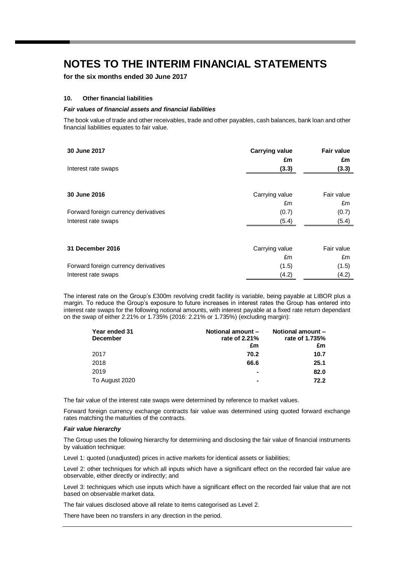**for the six months ended 30 June 2017**

### **10. Other financial liabilities**

#### *Fair values of financial assets and financial liabilities*

The book value of trade and other receivables, trade and other payables, cash balances, bank loan and other financial liabilities equates to fair value.

| 30 June 2017                         | <b>Carrying value</b><br>£m | <b>Fair value</b><br>£m |
|--------------------------------------|-----------------------------|-------------------------|
| Interest rate swaps                  | (3.3)                       | (3.3)                   |
|                                      |                             |                         |
| 30 June 2016                         | Carrying value              | Fair value              |
|                                      | £m                          | £m                      |
| Forward foreign currency derivatives | (0.7)                       | (0.7)                   |
| Interest rate swaps                  | (5.4)                       | (5.4)                   |
| 31 December 2016                     | Carrying value              | Fair value              |
|                                      | £m                          | £m                      |
| Forward foreign currency derivatives | (1.5)                       | (1.5)                   |
| Interest rate swaps                  | (4.2)                       | (4.2)                   |

The interest rate on the Group's £300m revolving credit facility is variable, being payable at LIBOR plus a margin. To reduce the Group's exposure to future increases in interest rates the Group has entered into interest rate swaps for the following notional amounts, with interest payable at a fixed rate return dependant on the swap of either 2.21% or 1.735% (2016: 2.21% or 1.735%) (excluding margin):

| Year ended 31   | Notional amount - | Notional amount - |
|-----------------|-------------------|-------------------|
| <b>December</b> | rate of 2.21%     | rate of 1.735%    |
|                 | £m                | £m                |
| 2017            | 70.2              | 10.7              |
| 2018            | 66.6              | 25.1              |
| 2019            | $\blacksquare$    | 82.0              |
| To August 2020  | ۰                 | 72.2              |

The fair value of the interest rate swaps were determined by reference to market values.

Forward foreign currency exchange contracts fair value was determined using quoted forward exchange rates matching the maturities of the contracts.

#### *Fair value hierarchy*

The Group uses the following hierarchy for determining and disclosing the fair value of financial instruments by valuation technique:

Level 1: quoted (unadjusted) prices in active markets for identical assets or liabilities;

Level 2: other techniques for which all inputs which have a significant effect on the recorded fair value are observable, either directly or indirectly; and

Level 3: techniques which use inputs which have a significant effect on the recorded fair value that are not based on observable market data.

The fair values disclosed above all relate to items categorised as Level 2.

There have been no transfers in any direction in the period.